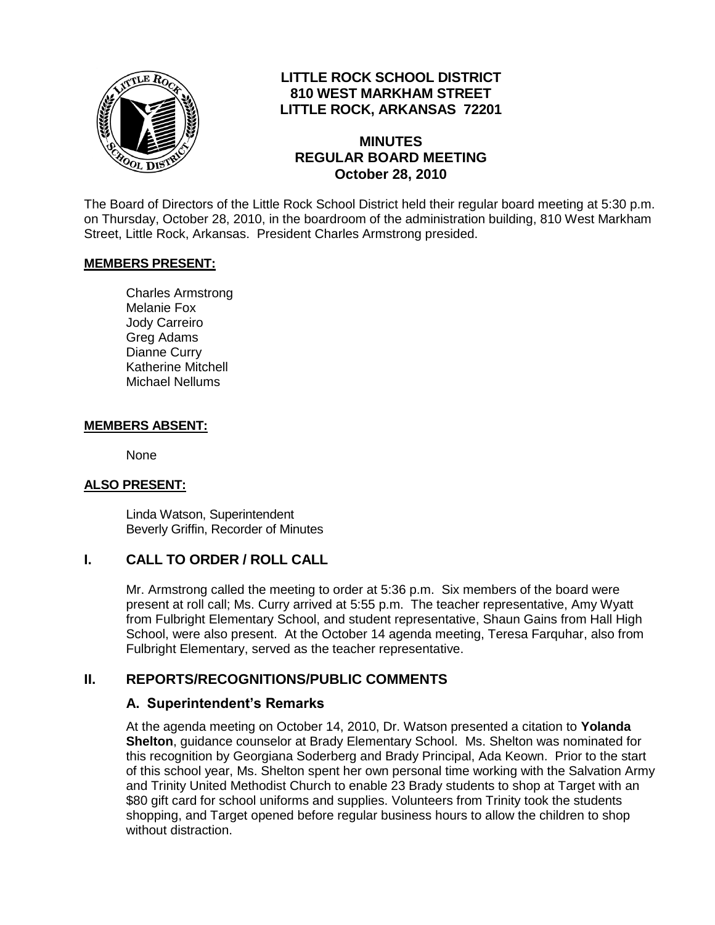

## **LITTLE ROCK SCHOOL DISTRICT 810 WEST MARKHAM STREET LITTLE ROCK, ARKANSAS 72201**

#### **MINUTES REGULAR BOARD MEETING October 28, 2010**

The Board of Directors of the Little Rock School District held their regular board meeting at 5:30 p.m. on Thursday, October 28, 2010, in the boardroom of the administration building, 810 West Markham Street, Little Rock, Arkansas. President Charles Armstrong presided.

#### **MEMBERS PRESENT:**

Charles Armstrong Melanie Fox Jody Carreiro Greg Adams Dianne Curry Katherine Mitchell Michael Nellums

#### **MEMBERS ABSENT:**

None

#### **ALSO PRESENT:**

Linda Watson, Superintendent Beverly Griffin, Recorder of Minutes

#### **I. CALL TO ORDER / ROLL CALL**

Mr. Armstrong called the meeting to order at 5:36 p.m. Six members of the board were present at roll call; Ms. Curry arrived at 5:55 p.m. The teacher representative, Amy Wyatt from Fulbright Elementary School, and student representative, Shaun Gains from Hall High School, were also present. At the October 14 agenda meeting, Teresa Farquhar, also from Fulbright Elementary, served as the teacher representative.

## **II. REPORTS/RECOGNITIONS/PUBLIC COMMENTS**

#### **A. Superintendent's Remarks**

At the agenda meeting on October 14, 2010, Dr. Watson presented a citation to **Yolanda Shelton**, guidance counselor at Brady Elementary School. Ms. Shelton was nominated for this recognition by Georgiana Soderberg and Brady Principal, Ada Keown. Prior to the start of this school year, Ms. Shelton spent her own personal time working with the Salvation Army and Trinity United Methodist Church to enable 23 Brady students to shop at Target with an \$80 gift card for school uniforms and supplies. Volunteers from Trinity took the students shopping, and Target opened before regular business hours to allow the children to shop without distraction.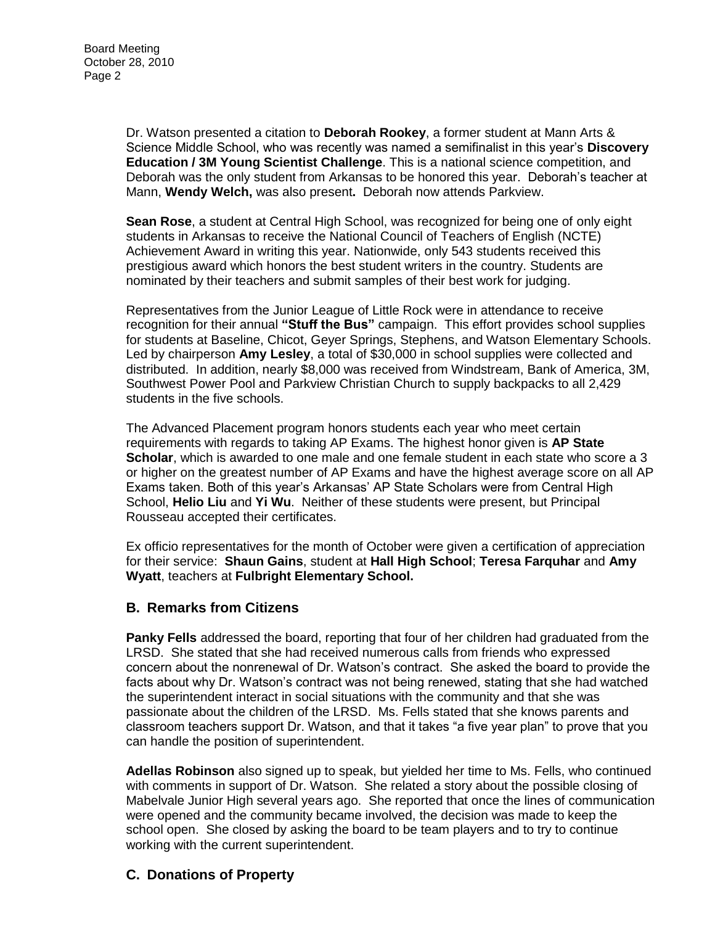Dr. Watson presented a citation to **Deborah Rookey**, a former student at Mann Arts & Science Middle School, who was recently was named a semifinalist in this year's **Discovery Education / 3M Young Scientist Challenge**. This is a national science competition, and Deborah was the only student from Arkansas to be honored this year. Deborah's teacher at Mann, **Wendy Welch,** was also present**.** Deborah now attends Parkview.

**Sean Rose**, a student at Central High School, was recognized for being one of only eight students in Arkansas to receive the National Council of Teachers of English (NCTE) Achievement Award in writing this year. Nationwide, only 543 students received this prestigious award which honors the best student writers in the country. Students are nominated by their teachers and submit samples of their best work for judging.

Representatives from the Junior League of Little Rock were in attendance to receive recognition for their annual **"Stuff the Bus"** campaign. This effort provides school supplies for students at Baseline, Chicot, Geyer Springs, Stephens, and Watson Elementary Schools. Led by chairperson **Amy Lesley**, a total of \$30,000 in school supplies were collected and distributed. In addition, nearly \$8,000 was received from Windstream, Bank of America, 3M, Southwest Power Pool and Parkview Christian Church to supply backpacks to all 2,429 students in the five schools.

The Advanced Placement program honors students each year who meet certain requirements with regards to taking AP Exams. The highest honor given is **AP State Scholar**, which is awarded to one male and one female student in each state who score a 3 or higher on the greatest number of AP Exams and have the highest average score on all AP Exams taken. Both of this year's Arkansas' AP State Scholars were from Central High School, **Helio Liu** and **Yi Wu**. Neither of these students were present, but Principal Rousseau accepted their certificates.

Ex officio representatives for the month of October were given a certification of appreciation for their service: **Shaun Gains**, student at **Hall High School**; **Teresa Farquhar** and **Amy Wyatt**, teachers at **Fulbright Elementary School.** 

## **B. Remarks from Citizens**

**Panky Fells** addressed the board, reporting that four of her children had graduated from the LRSD. She stated that she had received numerous calls from friends who expressed concern about the nonrenewal of Dr. Watson's contract. She asked the board to provide the facts about why Dr. Watson's contract was not being renewed, stating that she had watched the superintendent interact in social situations with the community and that she was passionate about the children of the LRSD. Ms. Fells stated that she knows parents and classroom teachers support Dr. Watson, and that it takes "a five year plan" to prove that you can handle the position of superintendent.

**Adellas Robinson** also signed up to speak, but yielded her time to Ms. Fells, who continued with comments in support of Dr. Watson. She related a story about the possible closing of Mabelvale Junior High several years ago. She reported that once the lines of communication were opened and the community became involved, the decision was made to keep the school open. She closed by asking the board to be team players and to try to continue working with the current superintendent.

## **C. Donations of Property**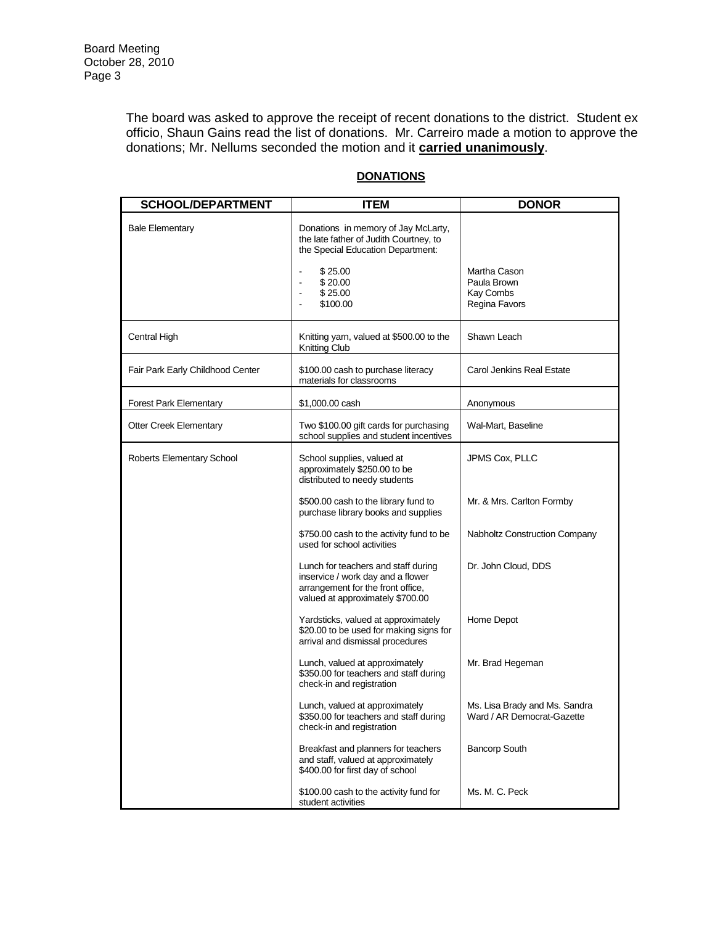The board was asked to approve the receipt of recent donations to the district. Student ex officio, Shaun Gains read the list of donations. Mr. Carreiro made a motion to approve the donations; Mr. Nellums seconded the motion and it **carried unanimously**.

| <b>SCHOOL/DEPARTMENT</b>         | <b>ITEM</b>                                                                                                                                       | <b>DONOR</b>                                                |
|----------------------------------|---------------------------------------------------------------------------------------------------------------------------------------------------|-------------------------------------------------------------|
| <b>Bale Elementary</b>           | Donations in memory of Jay McLarty,<br>the late father of Judith Courtney, to<br>the Special Education Department:                                |                                                             |
|                                  | \$25.00<br>\$20.00<br>\$25.00<br>\$100.00                                                                                                         | Martha Cason<br>Paula Brown<br>Kay Combs<br>Regina Favors   |
| Central High                     | Knitting yarn, valued at \$500.00 to the<br>Knitting Club                                                                                         | Shawn Leach                                                 |
| Fair Park Early Childhood Center | \$100.00 cash to purchase literacy<br>materials for classrooms                                                                                    | Carol Jenkins Real Estate                                   |
| <b>Forest Park Elementary</b>    | \$1,000.00 cash                                                                                                                                   | Anonymous                                                   |
| <b>Otter Creek Elementary</b>    | Two \$100.00 gift cards for purchasing<br>school supplies and student incentives                                                                  | Wal-Mart, Baseline                                          |
| Roberts Elementary School        | School supplies, valued at<br>approximately \$250.00 to be<br>distributed to needy students                                                       | JPMS Cox, PLLC                                              |
|                                  | \$500.00 cash to the library fund to<br>purchase library books and supplies                                                                       | Mr. & Mrs. Carlton Formby                                   |
|                                  | \$750.00 cash to the activity fund to be<br>used for school activities                                                                            | <b>Nabholtz Construction Company</b>                        |
|                                  | Lunch for teachers and staff during<br>inservice / work day and a flower<br>arrangement for the front office,<br>valued at approximately \$700.00 | Dr. John Cloud, DDS                                         |
|                                  | Yardsticks, valued at approximately<br>\$20.00 to be used for making signs for<br>arrival and dismissal procedures                                | Home Depot                                                  |
|                                  | Lunch, valued at approximately<br>\$350.00 for teachers and staff during<br>check-in and registration                                             | Mr. Brad Hegeman                                            |
|                                  | Lunch, valued at approximately<br>\$350.00 for teachers and staff during<br>check-in and registration                                             | Ms. Lisa Brady and Ms. Sandra<br>Ward / AR Democrat-Gazette |
|                                  | Breakfast and planners for teachers<br>and staff, valued at approximately<br>\$400.00 for first day of school                                     | <b>Bancorp South</b>                                        |
|                                  | \$100.00 cash to the activity fund for<br>student activities                                                                                      | Ms. M. C. Peck                                              |

#### **DONATIONS**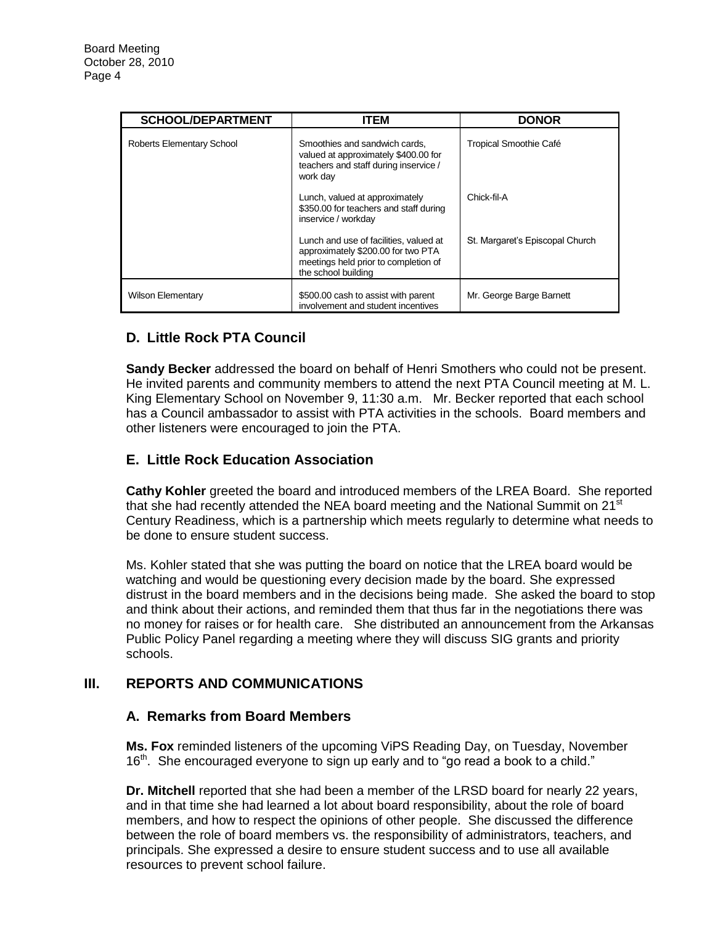| <b>SCHOOL/DEPARTMENT</b>  | <b>ITEM</b>                                                                                                                                 | <b>DONOR</b>                    |
|---------------------------|---------------------------------------------------------------------------------------------------------------------------------------------|---------------------------------|
| Roberts Elementary School | Smoothies and sandwich cards.<br>valued at approximately \$400.00 for<br>teachers and staff during inservice /<br>work day                  | Tropical Smoothie Café          |
|                           | Lunch, valued at approximately<br>\$350.00 for teachers and staff during<br>inservice / workday                                             | Chick-fil-A                     |
|                           | Lunch and use of facilities, valued at<br>approximately \$200.00 for two PTA<br>meetings held prior to completion of<br>the school building | St. Margaret's Episcopal Church |
| <b>Wilson Elementary</b>  | \$500.00 cash to assist with parent<br>involvement and student incentives                                                                   | Mr. George Barge Barnett        |

# **D. Little Rock PTA Council**

**Sandy Becker** addressed the board on behalf of Henri Smothers who could not be present. He invited parents and community members to attend the next PTA Council meeting at M. L. King Elementary School on November 9, 11:30 a.m. Mr. Becker reported that each school has a Council ambassador to assist with PTA activities in the schools. Board members and other listeners were encouraged to join the PTA.

## **E. Little Rock Education Association**

**Cathy Kohler** greeted the board and introduced members of the LREA Board. She reported that she had recently attended the NEA board meeting and the National Summit on 21<sup>st</sup> Century Readiness, which is a partnership which meets regularly to determine what needs to be done to ensure student success.

Ms. Kohler stated that she was putting the board on notice that the LREA board would be watching and would be questioning every decision made by the board. She expressed distrust in the board members and in the decisions being made. She asked the board to stop and think about their actions, and reminded them that thus far in the negotiations there was no money for raises or for health care. She distributed an announcement from the Arkansas Public Policy Panel regarding a meeting where they will discuss SIG grants and priority schools.

## **III. REPORTS AND COMMUNICATIONS**

#### **A. Remarks from Board Members**

**Ms. Fox** reminded listeners of the upcoming ViPS Reading Day, on Tuesday, November  $16<sup>th</sup>$ . She encouraged everyone to sign up early and to "go read a book to a child."

**Dr. Mitchell** reported that she had been a member of the LRSD board for nearly 22 years, and in that time she had learned a lot about board responsibility, about the role of board members, and how to respect the opinions of other people. She discussed the difference between the role of board members vs. the responsibility of administrators, teachers, and principals. She expressed a desire to ensure student success and to use all available resources to prevent school failure.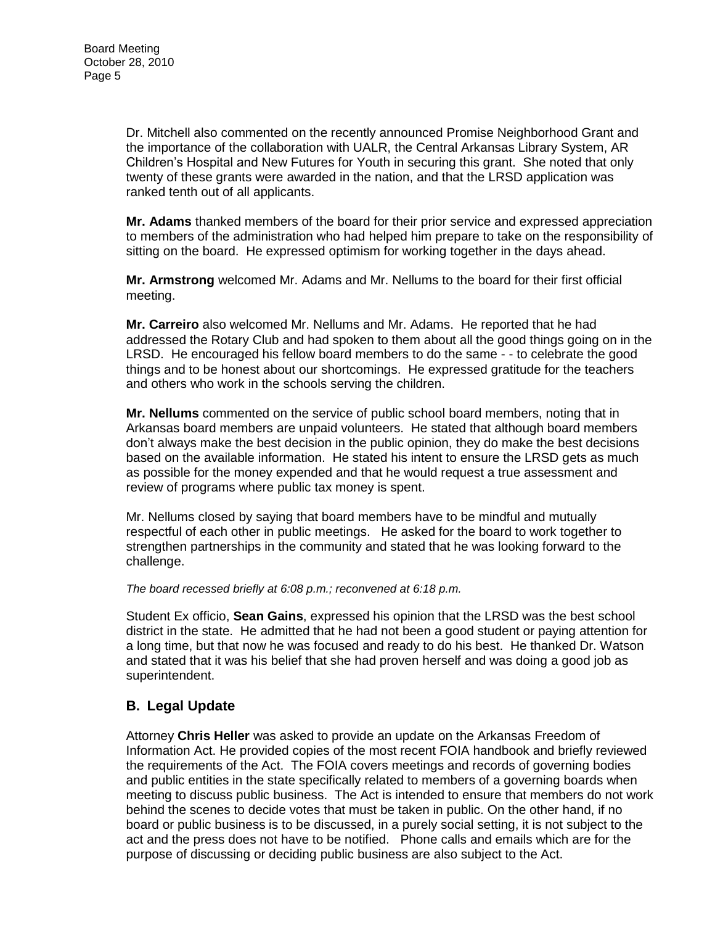Dr. Mitchell also commented on the recently announced Promise Neighborhood Grant and the importance of the collaboration with UALR, the Central Arkansas Library System, AR Children's Hospital and New Futures for Youth in securing this grant. She noted that only twenty of these grants were awarded in the nation, and that the LRSD application was ranked tenth out of all applicants.

**Mr. Adams** thanked members of the board for their prior service and expressed appreciation to members of the administration who had helped him prepare to take on the responsibility of sitting on the board. He expressed optimism for working together in the days ahead.

**Mr. Armstrong** welcomed Mr. Adams and Mr. Nellums to the board for their first official meeting.

**Mr. Carreiro** also welcomed Mr. Nellums and Mr. Adams. He reported that he had addressed the Rotary Club and had spoken to them about all the good things going on in the LRSD. He encouraged his fellow board members to do the same - - to celebrate the good things and to be honest about our shortcomings. He expressed gratitude for the teachers and others who work in the schools serving the children.

**Mr. Nellums** commented on the service of public school board members, noting that in Arkansas board members are unpaid volunteers. He stated that although board members don't always make the best decision in the public opinion, they do make the best decisions based on the available information. He stated his intent to ensure the LRSD gets as much as possible for the money expended and that he would request a true assessment and review of programs where public tax money is spent.

Mr. Nellums closed by saying that board members have to be mindful and mutually respectful of each other in public meetings. He asked for the board to work together to strengthen partnerships in the community and stated that he was looking forward to the challenge.

#### *The board recessed briefly at 6:08 p.m.; reconvened at 6:18 p.m.*

Student Ex officio, **Sean Gains**, expressed his opinion that the LRSD was the best school district in the state. He admitted that he had not been a good student or paying attention for a long time, but that now he was focused and ready to do his best. He thanked Dr. Watson and stated that it was his belief that she had proven herself and was doing a good job as superintendent.

## **B. Legal Update**

Attorney **Chris Heller** was asked to provide an update on the Arkansas Freedom of Information Act. He provided copies of the most recent FOIA handbook and briefly reviewed the requirements of the Act. The FOIA covers meetings and records of governing bodies and public entities in the state specifically related to members of a governing boards when meeting to discuss public business. The Act is intended to ensure that members do not work behind the scenes to decide votes that must be taken in public. On the other hand, if no board or public business is to be discussed, in a purely social setting, it is not subject to the act and the press does not have to be notified. Phone calls and emails which are for the purpose of discussing or deciding public business are also subject to the Act.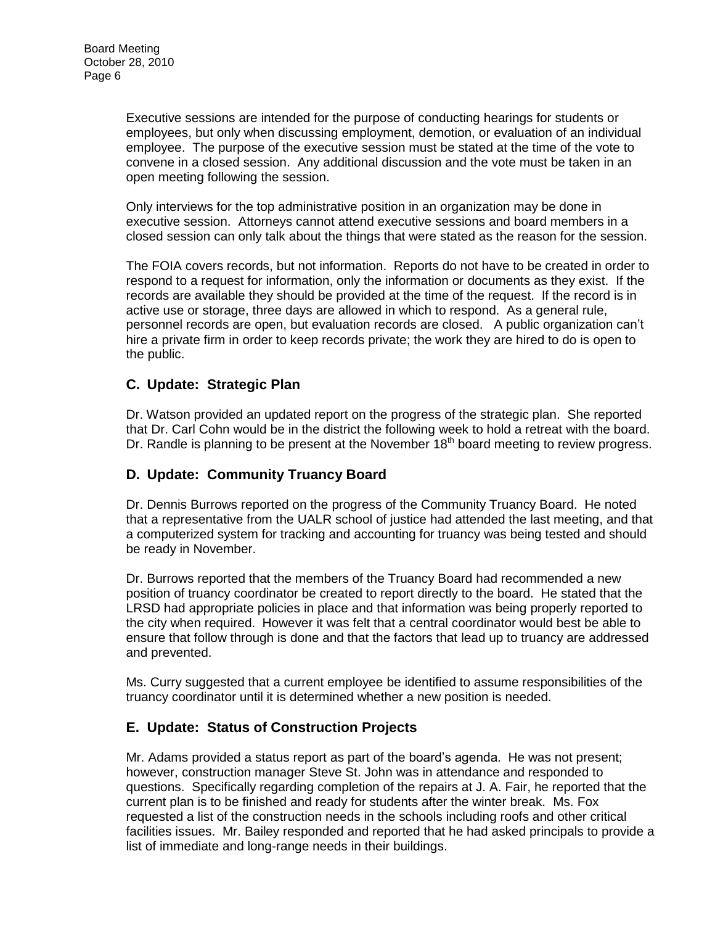Executive sessions are intended for the purpose of conducting hearings for students or employees, but only when discussing employment, demotion, or evaluation of an individual employee. The purpose of the executive session must be stated at the time of the vote to convene in a closed session. Any additional discussion and the vote must be taken in an open meeting following the session.

Only interviews for the top administrative position in an organization may be done in executive session. Attorneys cannot attend executive sessions and board members in a closed session can only talk about the things that were stated as the reason for the session.

The FOIA covers records, but not information. Reports do not have to be created in order to respond to a request for information, only the information or documents as they exist. If the records are available they should be provided at the time of the request. If the record is in active use or storage, three days are allowed in which to respond. As a general rule, personnel records are open, but evaluation records are closed. A public organization can't hire a private firm in order to keep records private; the work they are hired to do is open to the public.

## **C. Update: Strategic Plan**

Dr. Watson provided an updated report on the progress of the strategic plan. She reported that Dr. Carl Cohn would be in the district the following week to hold a retreat with the board. Dr. Randle is planning to be present at the November  $18<sup>th</sup>$  board meeting to review progress.

# **D. Update: Community Truancy Board**

Dr. Dennis Burrows reported on the progress of the Community Truancy Board. He noted that a representative from the UALR school of justice had attended the last meeting, and that a computerized system for tracking and accounting for truancy was being tested and should be ready in November.

Dr. Burrows reported that the members of the Truancy Board had recommended a new position of truancy coordinator be created to report directly to the board. He stated that the LRSD had appropriate policies in place and that information was being properly reported to the city when required. However it was felt that a central coordinator would best be able to ensure that follow through is done and that the factors that lead up to truancy are addressed and prevented.

Ms. Curry suggested that a current employee be identified to assume responsibilities of the truancy coordinator until it is determined whether a new position is needed.

## **E. Update: Status of Construction Projects**

Mr. Adams provided a status report as part of the board's agenda. He was not present; however, construction manager Steve St. John was in attendance and responded to questions. Specifically regarding completion of the repairs at J. A. Fair, he reported that the current plan is to be finished and ready for students after the winter break. Ms. Fox requested a list of the construction needs in the schools including roofs and other critical facilities issues. Mr. Bailey responded and reported that he had asked principals to provide a list of immediate and long-range needs in their buildings.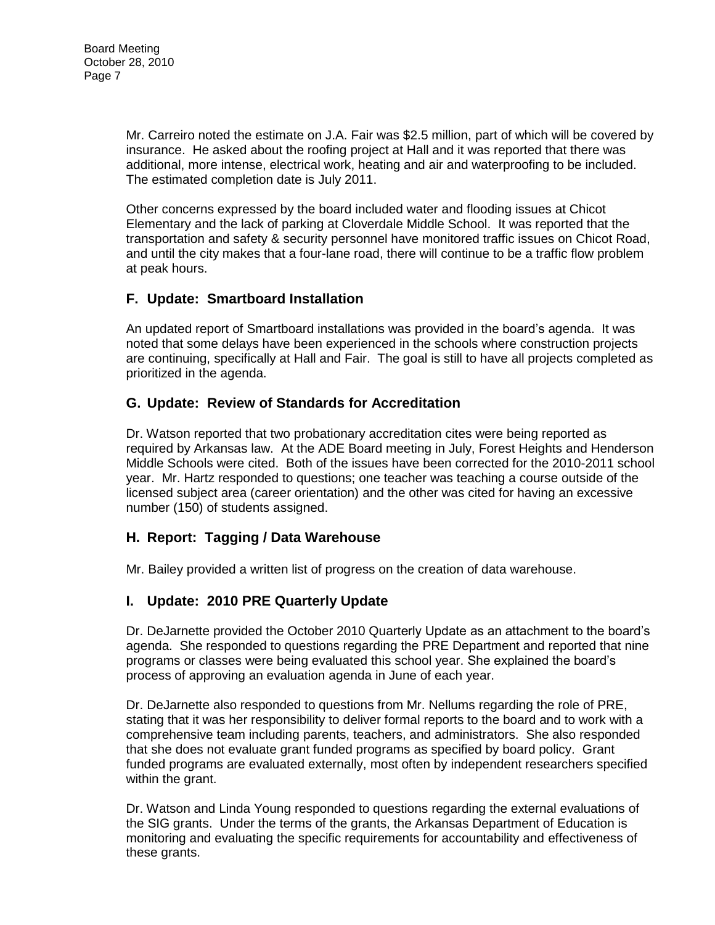Mr. Carreiro noted the estimate on J.A. Fair was \$2.5 million, part of which will be covered by insurance. He asked about the roofing project at Hall and it was reported that there was additional, more intense, electrical work, heating and air and waterproofing to be included. The estimated completion date is July 2011.

Other concerns expressed by the board included water and flooding issues at Chicot Elementary and the lack of parking at Cloverdale Middle School. It was reported that the transportation and safety & security personnel have monitored traffic issues on Chicot Road, and until the city makes that a four-lane road, there will continue to be a traffic flow problem at peak hours.

## **F. Update: Smartboard Installation**

An updated report of Smartboard installations was provided in the board's agenda. It was noted that some delays have been experienced in the schools where construction projects are continuing, specifically at Hall and Fair. The goal is still to have all projects completed as prioritized in the agenda.

## **G. Update: Review of Standards for Accreditation**

Dr. Watson reported that two probationary accreditation cites were being reported as required by Arkansas law. At the ADE Board meeting in July, Forest Heights and Henderson Middle Schools were cited. Both of the issues have been corrected for the 2010-2011 school year. Mr. Hartz responded to questions; one teacher was teaching a course outside of the licensed subject area (career orientation) and the other was cited for having an excessive number (150) of students assigned.

## **H. Report: Tagging / Data Warehouse**

Mr. Bailey provided a written list of progress on the creation of data warehouse.

## **I. Update: 2010 PRE Quarterly Update**

Dr. DeJarnette provided the October 2010 Quarterly Update as an attachment to the board's agenda. She responded to questions regarding the PRE Department and reported that nine programs or classes were being evaluated this school year. She explained the board's process of approving an evaluation agenda in June of each year.

Dr. DeJarnette also responded to questions from Mr. Nellums regarding the role of PRE, stating that it was her responsibility to deliver formal reports to the board and to work with a comprehensive team including parents, teachers, and administrators. She also responded that she does not evaluate grant funded programs as specified by board policy. Grant funded programs are evaluated externally, most often by independent researchers specified within the grant.

Dr. Watson and Linda Young responded to questions regarding the external evaluations of the SIG grants. Under the terms of the grants, the Arkansas Department of Education is monitoring and evaluating the specific requirements for accountability and effectiveness of these grants.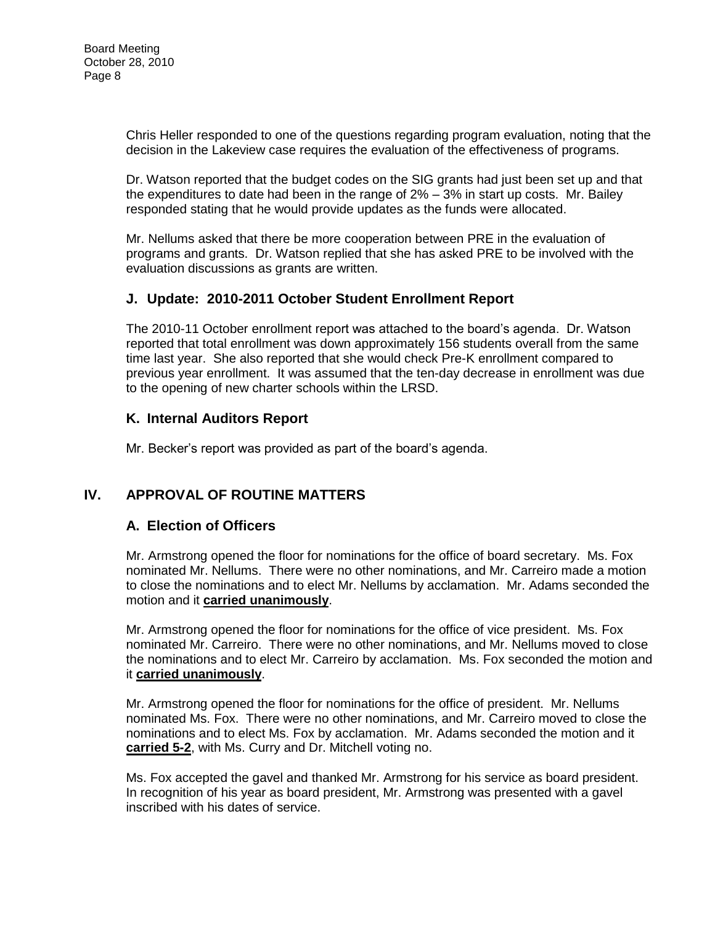Chris Heller responded to one of the questions regarding program evaluation, noting that the decision in the Lakeview case requires the evaluation of the effectiveness of programs.

Dr. Watson reported that the budget codes on the SIG grants had just been set up and that the expenditures to date had been in the range of  $2\% - 3\%$  in start up costs. Mr. Bailey responded stating that he would provide updates as the funds were allocated.

Mr. Nellums asked that there be more cooperation between PRE in the evaluation of programs and grants. Dr. Watson replied that she has asked PRE to be involved with the evaluation discussions as grants are written.

## **J. Update: 2010-2011 October Student Enrollment Report**

The 2010-11 October enrollment report was attached to the board's agenda. Dr. Watson reported that total enrollment was down approximately 156 students overall from the same time last year. She also reported that she would check Pre-K enrollment compared to previous year enrollment. It was assumed that the ten-day decrease in enrollment was due to the opening of new charter schools within the LRSD.

## **K. Internal Auditors Report**

Mr. Becker's report was provided as part of the board's agenda.

# **IV. APPROVAL OF ROUTINE MATTERS**

## **A. Election of Officers**

Mr. Armstrong opened the floor for nominations for the office of board secretary. Ms. Fox nominated Mr. Nellums. There were no other nominations, and Mr. Carreiro made a motion to close the nominations and to elect Mr. Nellums by acclamation. Mr. Adams seconded the motion and it **carried unanimously**.

Mr. Armstrong opened the floor for nominations for the office of vice president. Ms. Fox nominated Mr. Carreiro. There were no other nominations, and Mr. Nellums moved to close the nominations and to elect Mr. Carreiro by acclamation. Ms. Fox seconded the motion and it **carried unanimously**.

Mr. Armstrong opened the floor for nominations for the office of president. Mr. Nellums nominated Ms. Fox. There were no other nominations, and Mr. Carreiro moved to close the nominations and to elect Ms. Fox by acclamation. Mr. Adams seconded the motion and it **carried 5-2**, with Ms. Curry and Dr. Mitchell voting no.

Ms. Fox accepted the gavel and thanked Mr. Armstrong for his service as board president. In recognition of his year as board president, Mr. Armstrong was presented with a gavel inscribed with his dates of service.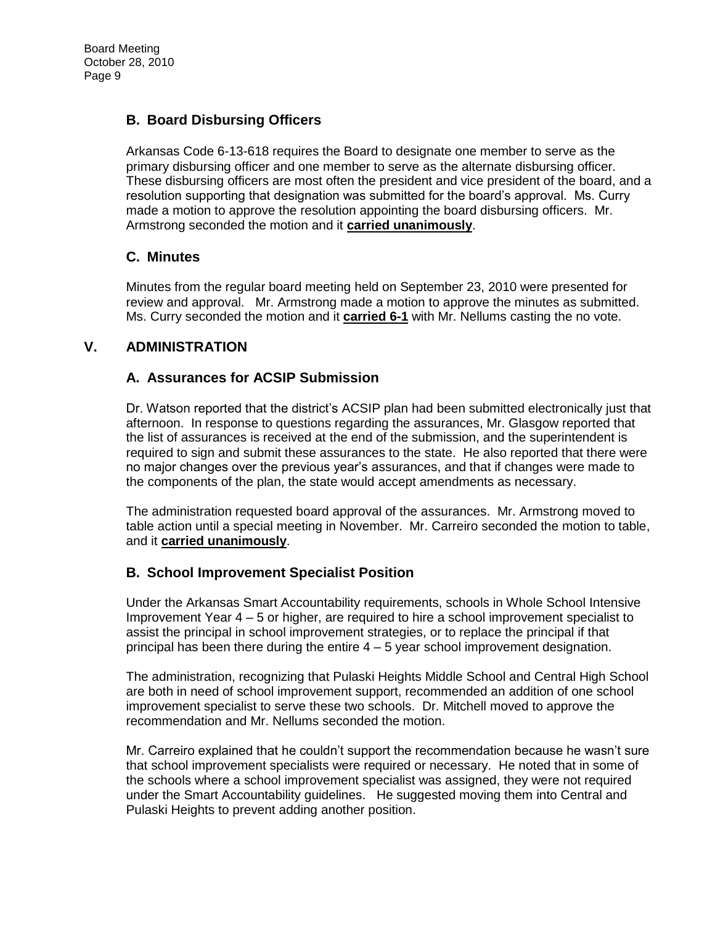## **B. Board Disbursing Officers**

Arkansas Code 6-13-618 requires the Board to designate one member to serve as the primary disbursing officer and one member to serve as the alternate disbursing officer. These disbursing officers are most often the president and vice president of the board, and a resolution supporting that designation was submitted for the board's approval. Ms. Curry made a motion to approve the resolution appointing the board disbursing officers. Mr. Armstrong seconded the motion and it **carried unanimously**.

## **C. Minutes**

Minutes from the regular board meeting held on September 23, 2010 were presented for review and approval. Mr. Armstrong made a motion to approve the minutes as submitted. Ms. Curry seconded the motion and it **carried 6-1** with Mr. Nellums casting the no vote.

## **V. ADMINISTRATION**

## **A. Assurances for ACSIP Submission**

Dr. Watson reported that the district's ACSIP plan had been submitted electronically just that afternoon. In response to questions regarding the assurances, Mr. Glasgow reported that the list of assurances is received at the end of the submission, and the superintendent is required to sign and submit these assurances to the state. He also reported that there were no major changes over the previous year's assurances, and that if changes were made to the components of the plan, the state would accept amendments as necessary.

The administration requested board approval of the assurances. Mr. Armstrong moved to table action until a special meeting in November. Mr. Carreiro seconded the motion to table, and it **carried unanimously**.

## **B. School Improvement Specialist Position**

Under the Arkansas Smart Accountability requirements, schools in Whole School Intensive Improvement Year 4 – 5 or higher, are required to hire a school improvement specialist to assist the principal in school improvement strategies, or to replace the principal if that principal has been there during the entire  $4 - 5$  year school improvement designation.

The administration, recognizing that Pulaski Heights Middle School and Central High School are both in need of school improvement support, recommended an addition of one school improvement specialist to serve these two schools. Dr. Mitchell moved to approve the recommendation and Mr. Nellums seconded the motion.

Mr. Carreiro explained that he couldn't support the recommendation because he wasn't sure that school improvement specialists were required or necessary. He noted that in some of the schools where a school improvement specialist was assigned, they were not required under the Smart Accountability guidelines. He suggested moving them into Central and Pulaski Heights to prevent adding another position.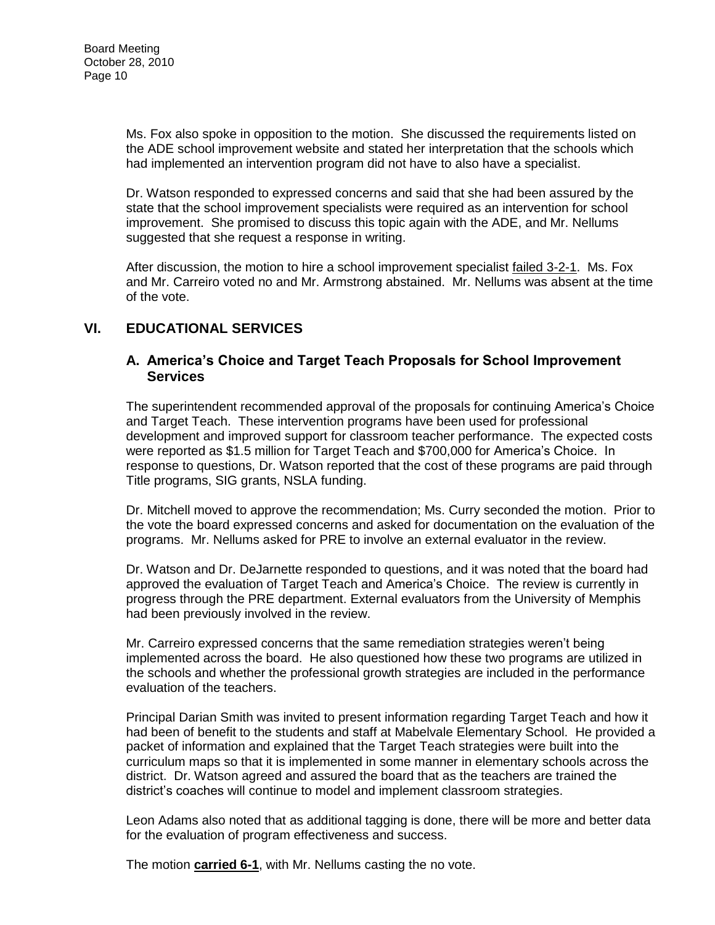Ms. Fox also spoke in opposition to the motion. She discussed the requirements listed on the ADE school improvement website and stated her interpretation that the schools which had implemented an intervention program did not have to also have a specialist.

Dr. Watson responded to expressed concerns and said that she had been assured by the state that the school improvement specialists were required as an intervention for school improvement. She promised to discuss this topic again with the ADE, and Mr. Nellums suggested that she request a response in writing.

After discussion, the motion to hire a school improvement specialist failed 3-2-1. Ms. Fox and Mr. Carreiro voted no and Mr. Armstrong abstained. Mr. Nellums was absent at the time of the vote.

## **VI. EDUCATIONAL SERVICES**

#### **A. America's Choice and Target Teach Proposals for School Improvement Services**

The superintendent recommended approval of the proposals for continuing America's Choice and Target Teach. These intervention programs have been used for professional development and improved support for classroom teacher performance. The expected costs were reported as \$1.5 million for Target Teach and \$700,000 for America's Choice. In response to questions, Dr. Watson reported that the cost of these programs are paid through Title programs, SIG grants, NSLA funding.

Dr. Mitchell moved to approve the recommendation; Ms. Curry seconded the motion. Prior to the vote the board expressed concerns and asked for documentation on the evaluation of the programs. Mr. Nellums asked for PRE to involve an external evaluator in the review.

Dr. Watson and Dr. DeJarnette responded to questions, and it was noted that the board had approved the evaluation of Target Teach and America's Choice. The review is currently in progress through the PRE department. External evaluators from the University of Memphis had been previously involved in the review.

Mr. Carreiro expressed concerns that the same remediation strategies weren't being implemented across the board. He also questioned how these two programs are utilized in the schools and whether the professional growth strategies are included in the performance evaluation of the teachers.

Principal Darian Smith was invited to present information regarding Target Teach and how it had been of benefit to the students and staff at Mabelvale Elementary School. He provided a packet of information and explained that the Target Teach strategies were built into the curriculum maps so that it is implemented in some manner in elementary schools across the district. Dr. Watson agreed and assured the board that as the teachers are trained the district's coaches will continue to model and implement classroom strategies.

Leon Adams also noted that as additional tagging is done, there will be more and better data for the evaluation of program effectiveness and success.

The motion **carried 6-1**, with Mr. Nellums casting the no vote.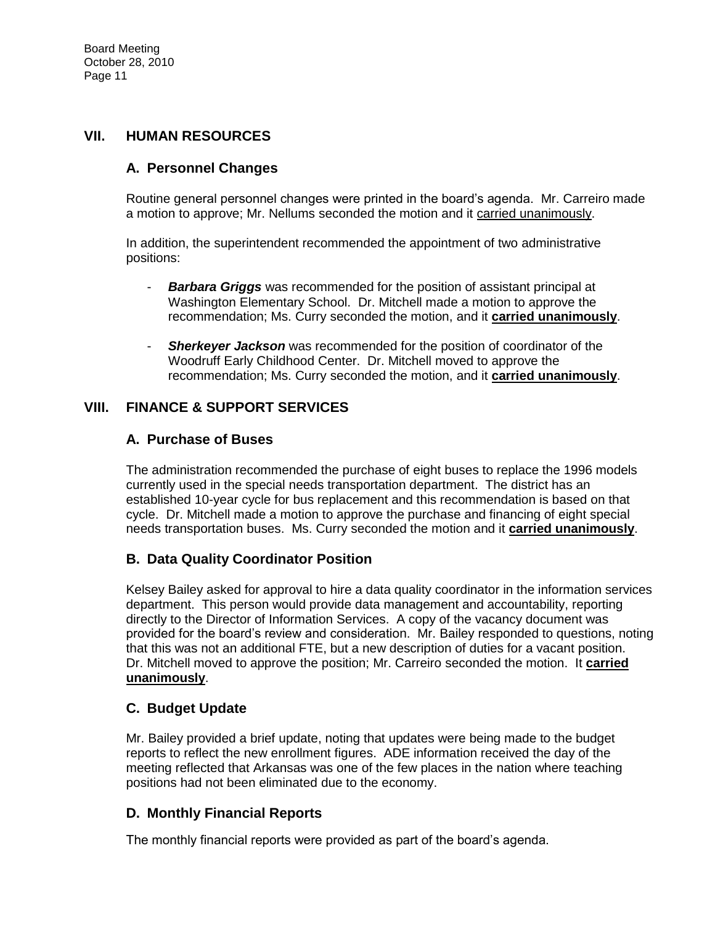## **VII. HUMAN RESOURCES**

## **A. Personnel Changes**

Routine general personnel changes were printed in the board's agenda. Mr. Carreiro made a motion to approve; Mr. Nellums seconded the motion and it carried unanimously.

In addition, the superintendent recommended the appointment of two administrative positions:

- *Barbara Griggs* was recommended for the position of assistant principal at Washington Elementary School. Dr. Mitchell made a motion to approve the recommendation; Ms. Curry seconded the motion, and it **carried unanimously**.
- **Sherkeyer Jackson** was recommended for the position of coordinator of the Woodruff Early Childhood Center. Dr. Mitchell moved to approve the recommendation; Ms. Curry seconded the motion, and it **carried unanimously**.

## **VIII. FINANCE & SUPPORT SERVICES**

## **A. Purchase of Buses**

The administration recommended the purchase of eight buses to replace the 1996 models currently used in the special needs transportation department. The district has an established 10-year cycle for bus replacement and this recommendation is based on that cycle. Dr. Mitchell made a motion to approve the purchase and financing of eight special needs transportation buses. Ms. Curry seconded the motion and it **carried unanimously**.

## **B. Data Quality Coordinator Position**

Kelsey Bailey asked for approval to hire a data quality coordinator in the information services department. This person would provide data management and accountability, reporting directly to the Director of Information Services. A copy of the vacancy document was provided for the board's review and consideration. Mr. Bailey responded to questions, noting that this was not an additional FTE, but a new description of duties for a vacant position. Dr. Mitchell moved to approve the position; Mr. Carreiro seconded the motion. It **carried unanimously**.

## **C. Budget Update**

Mr. Bailey provided a brief update, noting that updates were being made to the budget reports to reflect the new enrollment figures. ADE information received the day of the meeting reflected that Arkansas was one of the few places in the nation where teaching positions had not been eliminated due to the economy.

## **D. Monthly Financial Reports**

The monthly financial reports were provided as part of the board's agenda.